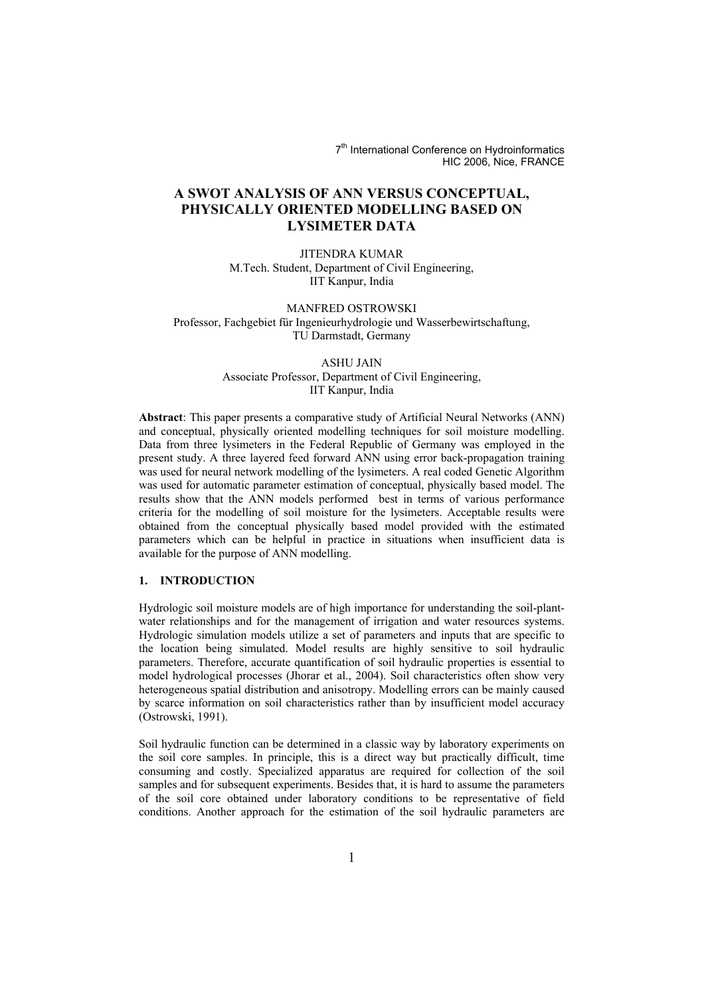7<sup>th</sup> International Conference on Hydroinformatics HIC 2006, Nice, FRANCE

# **A SWOT ANALYSIS OF ANN VERSUS CONCEPTUAL, PHYSICALLY ORIENTED MODELLING BASED ON LYSIMETER DATA**

JITENDRA KUMAR M.Tech. Student, Department of Civil Engineering, IIT Kanpur, India

MANFRED OSTROWSKI Professor, Fachgebiet für Ingenieurhydrologie und Wasserbewirtschaftung, TU Darmstadt, Germany

# ASHU JAIN

Associate Professor, Department of Civil Engineering, IIT Kanpur, India

**Abstract**: This paper presents a comparative study of Artificial Neural Networks (ANN) and conceptual, physically oriented modelling techniques for soil moisture modelling. Data from three lysimeters in the Federal Republic of Germany was employed in the present study. A three layered feed forward ANN using error back-propagation training was used for neural network modelling of the lysimeters. A real coded Genetic Algorithm was used for automatic parameter estimation of conceptual, physically based model. The results show that the ANN models performed best in terms of various performance criteria for the modelling of soil moisture for the lysimeters. Acceptable results were obtained from the conceptual physically based model provided with the estimated parameters which can be helpful in practice in situations when insufficient data is available for the purpose of ANN modelling.

# **1. INTRODUCTION**

Hydrologic soil moisture models are of high importance for understanding the soil-plantwater relationships and for the management of irrigation and water resources systems. Hydrologic simulation models utilize a set of parameters and inputs that are specific to the location being simulated. Model results are highly sensitive to soil hydraulic parameters. Therefore, accurate quantification of soil hydraulic properties is essential to model hydrological processes (Jhorar et al., 2004). Soil characteristics often show very heterogeneous spatial distribution and anisotropy. Modelling errors can be mainly caused by scarce information on soil characteristics rather than by insufficient model accuracy (Ostrowski, 1991).

Soil hydraulic function can be determined in a classic way by laboratory experiments on the soil core samples. In principle, this is a direct way but practically difficult, time consuming and costly. Specialized apparatus are required for collection of the soil samples and for subsequent experiments. Besides that, it is hard to assume the parameters of the soil core obtained under laboratory conditions to be representative of field conditions. Another approach for the estimation of the soil hydraulic parameters are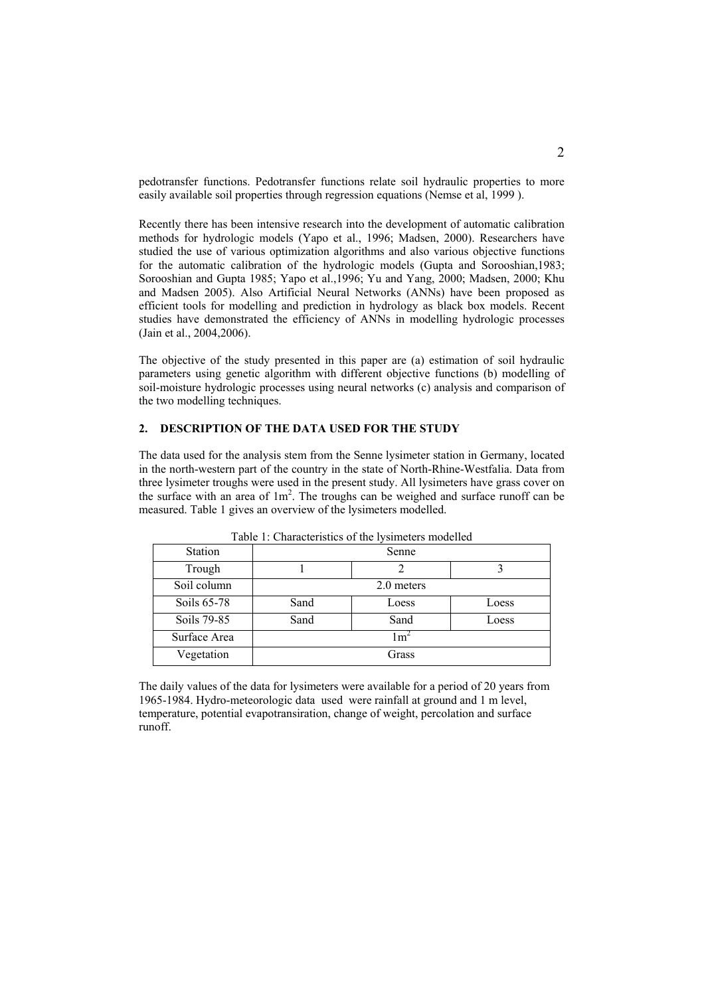pedotransfer functions. Pedotransfer functions relate soil hydraulic properties to more easily available soil properties through regression equations (Nemse et al, 1999 ).

Recently there has been intensive research into the development of automatic calibration methods for hydrologic models (Yapo et al., 1996; Madsen, 2000). Researchers have studied the use of various optimization algorithms and also various objective functions for the automatic calibration of the hydrologic models (Gupta and Sorooshian, 1983; Sorooshian and Gupta 1985; Yapo et al.,1996; Yu and Yang, 2000; Madsen, 2000; Khu and Madsen 2005). Also Artificial Neural Networks (ANNs) have been proposed as efficient tools for modelling and prediction in hydrology as black box models. Recent studies have demonstrated the efficiency of ANNs in modelling hydrologic processes (Jain et al., 2004,2006).

The objective of the study presented in this paper are (a) estimation of soil hydraulic parameters using genetic algorithm with different objective functions (b) modelling of soil-moisture hydrologic processes using neural networks (c) analysis and comparison of the two modelling techniques.

# **2. DESCRIPTION OF THE DATA USED FOR THE STUDY**

The data used for the analysis stem from the Senne lysimeter station in Germany, located in the north-western part of the country in the state of North-Rhine-Westfalia. Data from three lysimeter troughs were used in the present study. All lysimeters have grass cover on the surface with an area of  $1m^2$ . The troughs can be weighed and surface runoff can be measured. Table 1 gives an overview of the lysimeters modelled.

| <b>Station</b> | Senne |            |       |  |  |  |
|----------------|-------|------------|-------|--|--|--|
| Trough         |       |            |       |  |  |  |
| Soil column    |       | 2.0 meters |       |  |  |  |
| Soils 65-78    | Sand  | Loess      | Loess |  |  |  |
| Soils 79-85    | Sand  | Sand       | Loess |  |  |  |
| Surface Area   |       | l m'       |       |  |  |  |
| Vegetation     |       | Grass      |       |  |  |  |
|                |       |            |       |  |  |  |

Table 1: Characteristics of the lysimeters modelled

The daily values of the data for lysimeters were available for a period of 20 years from 1965-1984. Hydro-meteorologic data used were rainfall at ground and 1 m level, temperature, potential evapotransiration, change of weight, percolation and surface runoff.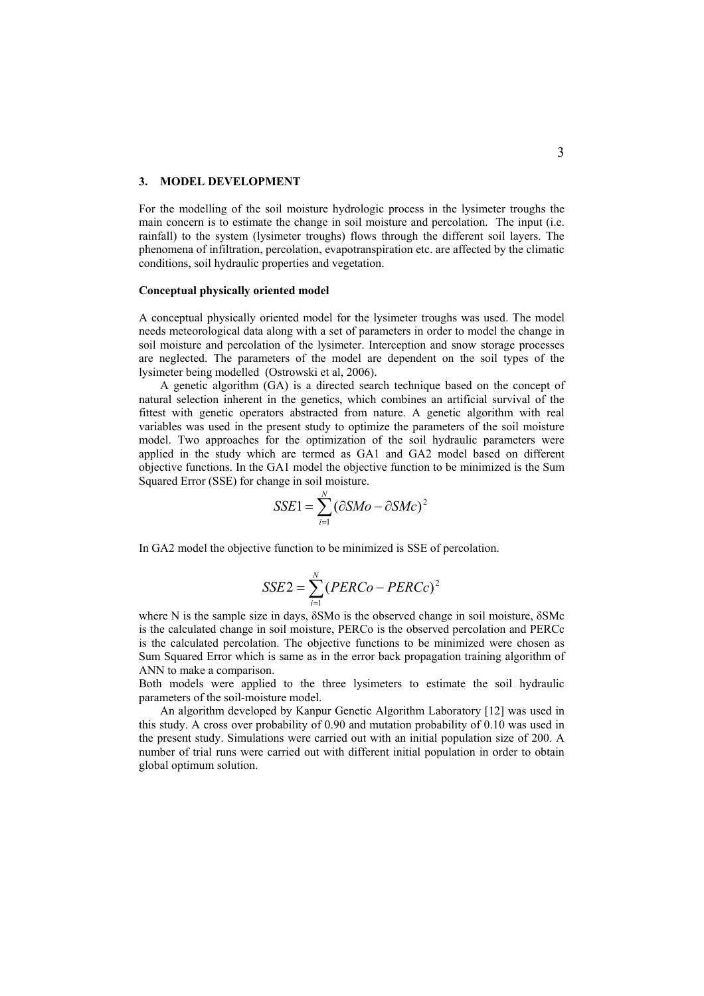#### **3. MODEL DEVELOPMENT**

For the modelling of the soil moisture hydrologic process in the lysimeter troughs the main concern is to estimate the change in soil moisture and percolation. The input (i.e. rainfall) to the system (lysimeter troughs) flows through the different soil layers. The phenomena of infiltration, percolation, evapotranspiration etc. are affected by the climatic conditions, soil hydraulic properties and vegetation.

## **Conceptual physically oriented model**

A conceptual physically oriented model for the lysimeter troughs was used. The model needs meteorological data along with a set of parameters in order to model the change in soil moisture and percolation of the lysimeter. Interception and snow storage processes are neglected. The parameters of the model are dependent on the soil types of the lysimeter being modelled (Ostrowski et al, 2006).

 A genetic algorithm (GA) is a directed search technique based on the concept of natural selection inherent in the genetics, which combines an artificial survival of the fittest with genetic operators abstracted from nature. A genetic algorithm with real variables was used in the present study to optimize the parameters of the soil moisture model. Two approaches for the optimization of the soil hydraulic parameters were applied in the study which are termed as GA1 and GA2 model based on different objective functions. In the GA1 model the objective function to be minimized is the Sum Squared Error (SSE) for change in soil moisture.

$$
SSE1 = \sum_{i=1}^{N} (\partial SMo - \partial SMc)^{2}
$$

In GA2 model the objective function to be minimized is SSE of percolation.

$$
SSE2 = \sum_{i=1}^{N} (PERCo - PERCc)^2
$$

where N is the sample size in days,  $\delta$ SMo is the observed change in soil moisture,  $\delta$ SMc is the calculated change in soil moisture, PERCo is the observed percolation and PERCc is the calculated percolation. The objective functions to be minimized were chosen as Sum Squared Error which is same as in the error back propagation training algorithm of ANN to make a comparison.

Both models were applied to the three lysimeters to estimate the soil hydraulic parameters of the soil-moisture model.

 An algorithm developed by Kanpur Genetic Algorithm Laboratory [12] was used in this study. A cross over probability of 0.90 and mutation probability of 0.10 was used in the present study. Simulations were carried out with an initial population size of 200. A number of trial runs were carried out with different initial population in order to obtain global optimum solution.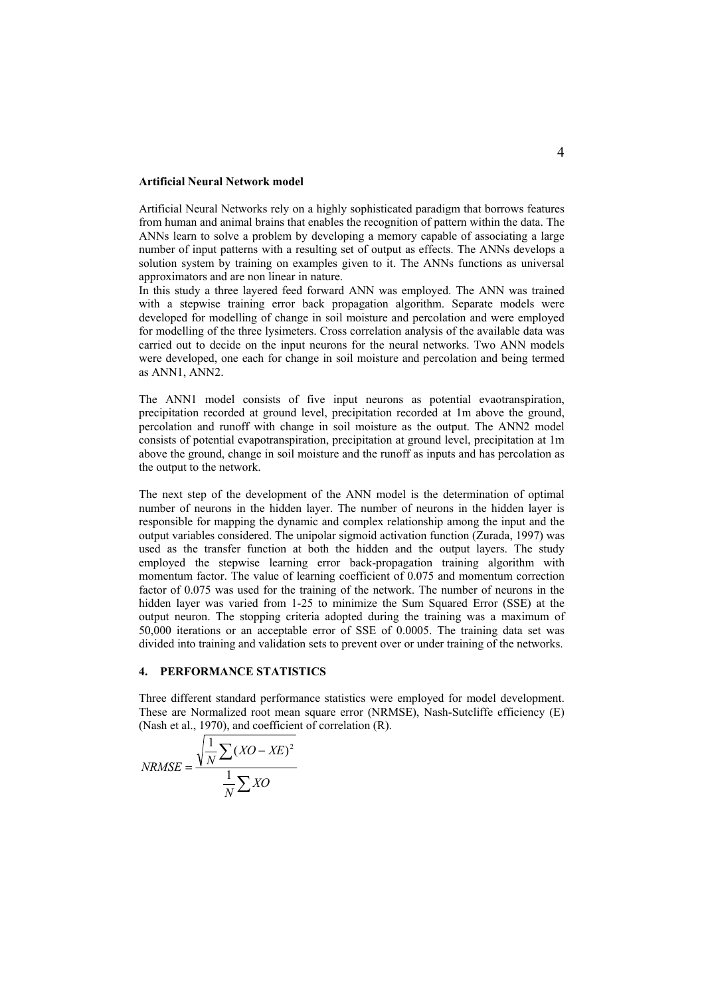#### **Artificial Neural Network model**

Artificial Neural Networks rely on a highly sophisticated paradigm that borrows features from human and animal brains that enables the recognition of pattern within the data. The ANNs learn to solve a problem by developing a memory capable of associating a large number of input patterns with a resulting set of output as effects. The ANNs develops a solution system by training on examples given to it. The ANNs functions as universal approximators and are non linear in nature.

In this study a three layered feed forward ANN was employed. The ANN was trained with a stepwise training error back propagation algorithm. Separate models were developed for modelling of change in soil moisture and percolation and were employed for modelling of the three lysimeters. Cross correlation analysis of the available data was carried out to decide on the input neurons for the neural networks. Two ANN models were developed, one each for change in soil moisture and percolation and being termed as ANN1, ANN2.

The ANN1 model consists of five input neurons as potential evaotranspiration, precipitation recorded at ground level, precipitation recorded at 1m above the ground, percolation and runoff with change in soil moisture as the output. The ANN2 model consists of potential evapotranspiration, precipitation at ground level, precipitation at 1m above the ground, change in soil moisture and the runoff as inputs and has percolation as the output to the network.

The next step of the development of the ANN model is the determination of optimal number of neurons in the hidden layer. The number of neurons in the hidden layer is responsible for mapping the dynamic and complex relationship among the input and the output variables considered. The unipolar sigmoid activation function (Zurada, 1997) was used as the transfer function at both the hidden and the output layers. The study employed the stepwise learning error back-propagation training algorithm with momentum factor. The value of learning coefficient of 0.075 and momentum correction factor of 0.075 was used for the training of the network. The number of neurons in the hidden layer was varied from 1-25 to minimize the Sum Squared Error (SSE) at the output neuron. The stopping criteria adopted during the training was a maximum of 50,000 iterations or an acceptable error of SSE of 0.0005. The training data set was divided into training and validation sets to prevent over or under training of the networks.

### **4. PERFORMANCE STATISTICS**

Three different standard performance statistics were employed for model development. These are Normalized root mean square error (NRMSE), Nash-Sutcliffe efficiency (E) (Nash et al., 1970), and coefficient of correlation (R).

$$
NRMSE = \frac{\sqrt{\frac{1}{N} \sum (XO - XE)^2}}{\frac{1}{N} \sum XO}
$$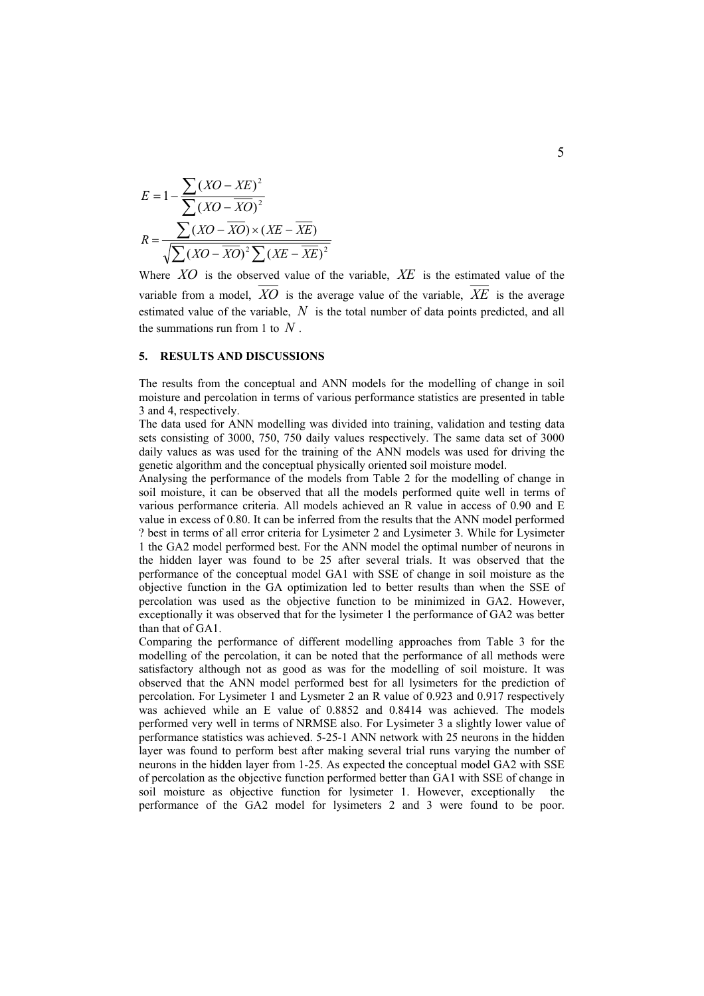$$
E = 1 - \frac{\sum (XO - XE)^2}{\sum (XO - \overline{XO})^2}
$$

$$
R = \frac{\sum (XO - \overline{XO}) \times (XE - \overline{XE})}{\sqrt{\sum (XO - \overline{XO})^2 \sum (XE - \overline{XE})^2}}
$$

Where *XO* is the observed value of the variable, *XE* is the estimated value of the variable from a model.  $\overline{XQ}$  is the average value of the variable,  $\overline{XE}$  is the average estimated value of the variable, *N* is the total number of data points predicted, and all the summations run from 1 to *N* .

### **5. RESULTS AND DISCUSSIONS**

The results from the conceptual and ANN models for the modelling of change in soil moisture and percolation in terms of various performance statistics are presented in table 3 and 4, respectively.

The data used for ANN modelling was divided into training, validation and testing data sets consisting of 3000, 750, 750 daily values respectively. The same data set of 3000 daily values as was used for the training of the ANN models was used for driving the genetic algorithm and the conceptual physically oriented soil moisture model.

Analysing the performance of the models from Table 2 for the modelling of change in soil moisture, it can be observed that all the models performed quite well in terms of various performance criteria. All models achieved an R value in access of 0.90 and E value in excess of 0.80. It can be inferred from the results that the ANN model performed ? best in terms of all error criteria for Lysimeter 2 and Lysimeter 3. While for Lysimeter 1 the GA2 model performed best. For the ANN model the optimal number of neurons in the hidden layer was found to be 25 after several trials. It was observed that the performance of the conceptual model GA1 with SSE of change in soil moisture as the objective function in the GA optimization led to better results than when the SSE of percolation was used as the objective function to be minimized in GA2. However, exceptionally it was observed that for the lysimeter 1 the performance of GA2 was better than that of GA1.

Comparing the performance of different modelling approaches from Table 3 for the modelling of the percolation, it can be noted that the performance of all methods were satisfactory although not as good as was for the modelling of soil moisture. It was observed that the ANN model performed best for all lysimeters for the prediction of percolation. For Lysimeter 1 and Lysmeter 2 an R value of 0.923 and 0.917 respectively was achieved while an E value of 0.8852 and 0.8414 was achieved. The models performed very well in terms of NRMSE also. For Lysimeter 3 a slightly lower value of performance statistics was achieved. 5-25-1 ANN network with 25 neurons in the hidden layer was found to perform best after making several trial runs varying the number of neurons in the hidden layer from 1-25. As expected the conceptual model GA2 with SSE of percolation as the objective function performed better than GA1 with SSE of change in soil moisture as objective function for lysimeter 1. However, exceptionally the performance of the GA2 model for lysimeters 2 and 3 were found to be poor.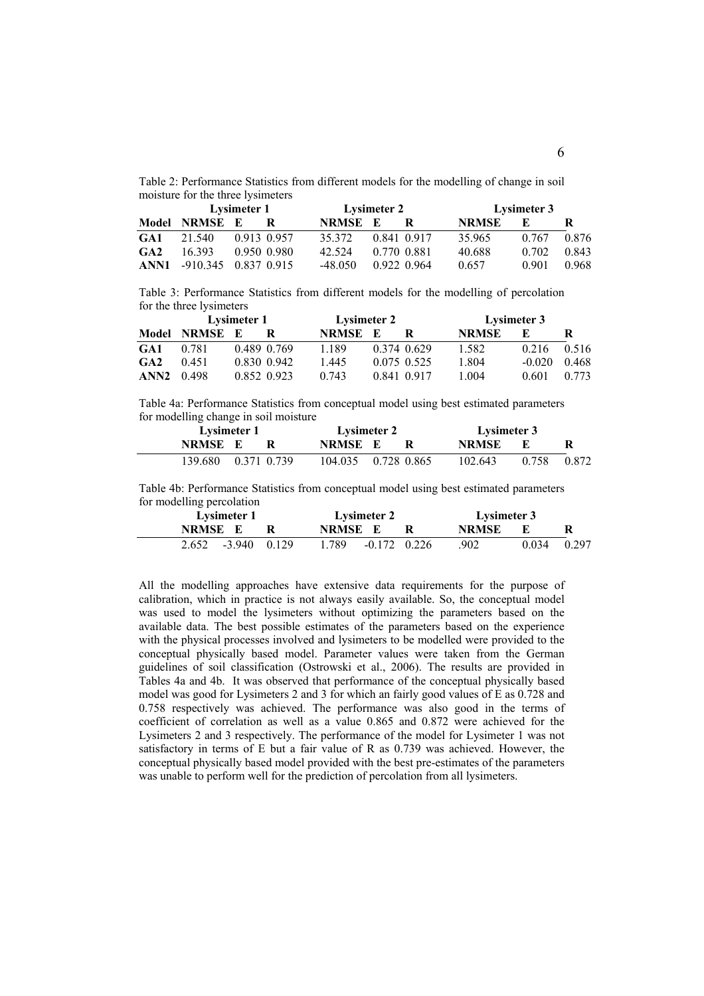Table 2: Performance Statistics from different models for the modelling of change in soil moisture for the three lysimeters

|     | Lysimeter 1               |  |             |              | Lysimeter 2 |             |              | Lysimeter 3 |       |  |
|-----|---------------------------|--|-------------|--------------|-------------|-------------|--------------|-------------|-------|--|
|     | Model NRMSE E             |  |             | <b>NRMSE</b> | к.          |             | <b>NRMSE</b> | К.          |       |  |
| GA1 | 21.540                    |  | 0.913 0.957 | 35 372       |             | 0.841 0.917 | 35.965       | 0.767       | 0.876 |  |
| GA2 | 16393                     |  | 0.950 0.980 | 42.524       |             | 0.770 0.881 | 40.688       | 0.702       | 0.843 |  |
|     | ANN1 -910.345 0.837 0.915 |  |             | -48 050      |             | 0.922 0.964 | 0.657        | 0.901       | 0.968 |  |

Table 3: Performance Statistics from different models for the modelling of percolation for the three lysimeters

|            | Lysimeter 1   |  |             | <b>Lysimeter 2</b> |    |               | Lysimeter 3  |          |       |
|------------|---------------|--|-------------|--------------------|----|---------------|--------------|----------|-------|
|            | Model NRMSE E |  |             | NRMSE              | К. |               | <b>NRMSE</b> | F.       |       |
| GA1        | 0.781         |  | 0.489 0.769 | 1 1 8 9            |    | 0 374 0 629   | 1.582        | 0.216    | 0.516 |
| GA2        | 0.451         |  | 0.830 0.942 | 1.445              |    | 0 0 75 0 5 25 | 1.804        | $-0.020$ | 0.468 |
| ANN2 0.498 |               |  | 0.852 0.923 | 0.743              |    | 0.841 0.917   | 1 004        | 0.601    | 0.773 |

Table 4a: Performance Statistics from conceptual model using best estimated parameters for modelling change in soil moisture

| Lysimeter 1         |  | <b>Lysimeter 2</b>  |  |  | Lysimeter 3 |       |       |  |
|---------------------|--|---------------------|--|--|-------------|-------|-------|--|
| NRMSE E             |  | <b>NRMSE</b> E      |  |  | NRMSE       |       |       |  |
| 139.680 0.371 0.739 |  | 104.035 0.728 0.865 |  |  | 102.643     | 0.758 | 0.872 |  |

Table 4b: Performance Statistics from conceptual model using best estimated parameters for modelling percolation

| Lysimeter 1 |          |       | Lysimeter 2             | Lysimeter 3 |       |               |  |
|-------------|----------|-------|-------------------------|-------------|-------|---------------|--|
| NRMSE E     |          |       | <b>NRMSE</b> E          |             | NRMSE |               |  |
| 2.652       | $-3.940$ | 0.129 | 1.789<br>$-0.172$ 0.226 |             | .902  | $0.034$ 0.297 |  |

All the modelling approaches have extensive data requirements for the purpose of calibration, which in practice is not always easily available. So, the conceptual model was used to model the lysimeters without optimizing the parameters based on the available data. The best possible estimates of the parameters based on the experience with the physical processes involved and lysimeters to be modelled were provided to the conceptual physically based model. Parameter values were taken from the German guidelines of soil classification (Ostrowski et al., 2006). The results are provided in Tables 4a and 4b. It was observed that performance of the conceptual physically based model was good for Lysimeters 2 and 3 for which an fairly good values of E as 0.728 and 0.758 respectively was achieved. The performance was also good in the terms of coefficient of correlation as well as a value 0.865 and 0.872 were achieved for the Lysimeters 2 and 3 respectively. The performance of the model for Lysimeter 1 was not satisfactory in terms of E but a fair value of R as 0.739 was achieved. However, the conceptual physically based model provided with the best pre-estimates of the parameters was unable to perform well for the prediction of percolation from all lysimeters.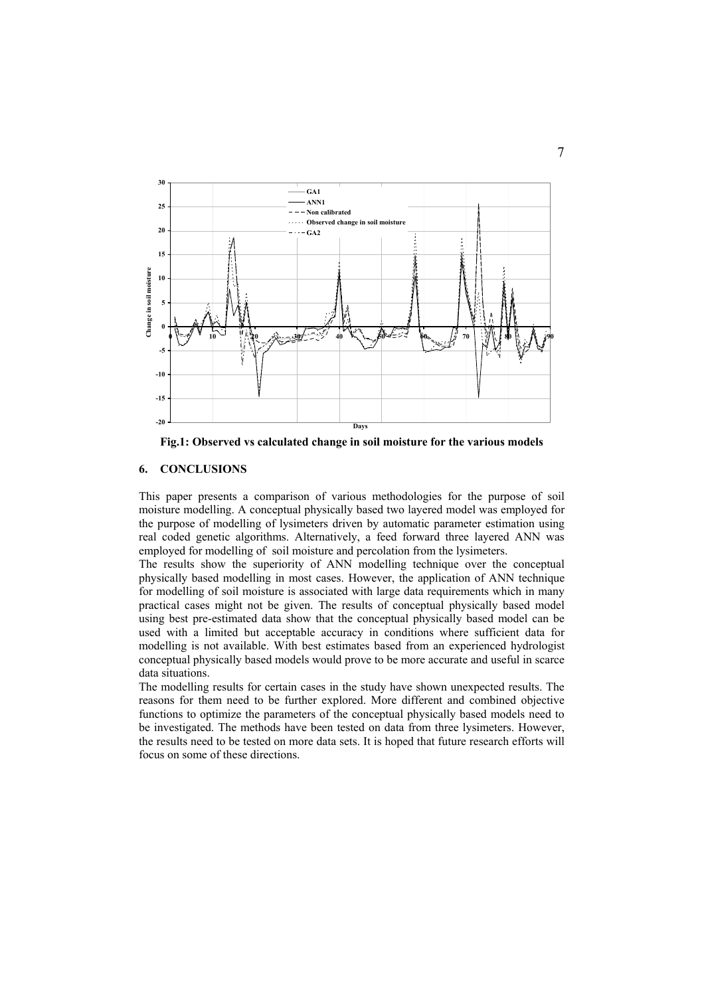

**Fig.1: Observed vs calculated change in soil moisture for the various models** 

# **6. CONCLUSIONS**

This paper presents a comparison of various methodologies for the purpose of soil moisture modelling. A conceptual physically based two layered model was employed for the purpose of modelling of lysimeters driven by automatic parameter estimation using real coded genetic algorithms. Alternatively, a feed forward three layered ANN was employed for modelling of soil moisture and percolation from the lysimeters.

The results show the superiority of ANN modelling technique over the conceptual physically based modelling in most cases. However, the application of ANN technique for modelling of soil moisture is associated with large data requirements which in many practical cases might not be given. The results of conceptual physically based model using best pre-estimated data show that the conceptual physically based model can be used with a limited but acceptable accuracy in conditions where sufficient data for modelling is not available. With best estimates based from an experienced hydrologist conceptual physically based models would prove to be more accurate and useful in scarce data situations.

The modelling results for certain cases in the study have shown unexpected results. The reasons for them need to be further explored. More different and combined objective functions to optimize the parameters of the conceptual physically based models need to be investigated. The methods have been tested on data from three lysimeters. However, the results need to be tested on more data sets. It is hoped that future research efforts will focus on some of these directions.